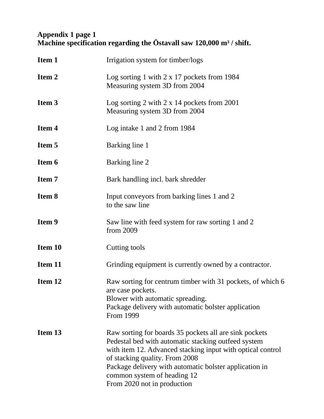## **Appendix 1 page 1 Machine specification regarding the Östavall saw 120,000 m³ / shift.**

| Item 1  | Irrigation system for timber/logs                                                                                                                                                                                                                                                                                                     |
|---------|---------------------------------------------------------------------------------------------------------------------------------------------------------------------------------------------------------------------------------------------------------------------------------------------------------------------------------------|
| Item 2  | Log sorting 1 with 2 x 17 pockets from 1984<br>Measuring system 3D from 2004                                                                                                                                                                                                                                                          |
| Item 3  | Log sorting 2 with 2 x 14 pockets from 2001<br>Measuring system 3D from 2004                                                                                                                                                                                                                                                          |
| Item 4  | Log intake 1 and 2 from 1984                                                                                                                                                                                                                                                                                                          |
| Item 5  | Barking line 1                                                                                                                                                                                                                                                                                                                        |
| Item 6  | Barking line 2                                                                                                                                                                                                                                                                                                                        |
| Item 7  | Bark handling incl. bark shredder                                                                                                                                                                                                                                                                                                     |
| Item 8  | Input conveyors from barking lines 1 and 2<br>to the saw line                                                                                                                                                                                                                                                                         |
| Item 9  | Saw line with feed system for raw sorting 1 and 2<br>from 2009                                                                                                                                                                                                                                                                        |
| Item 10 | Cutting tools                                                                                                                                                                                                                                                                                                                         |
| Item 11 | Grinding equipment is currently owned by a contractor.                                                                                                                                                                                                                                                                                |
| Item 12 | Raw sorting for centrum timber with 31 pockets, of which 6<br>are case pockets.<br>Blower with automatic spreading.<br>Package delivery with automatic bolster application<br>From 1999                                                                                                                                               |
| Item 13 | Raw sorting for boards 35 pockets all are sink pockets<br>Pedestal bed with automatic stacking outfeed system<br>with item 12. Advanced stacking input with optical control<br>of stacking quality. From 2008<br>Package delivery with automatic bolster application in<br>common system of heading 12<br>From 2020 not in production |